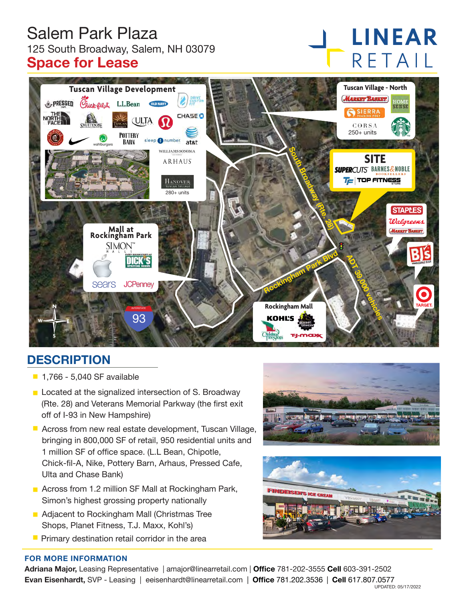# Salem Park Plaza 125 South Broadway, Salem, NH 03079 **Space for Lease**

# **LINEAR** RETAIL



# **DESCRIPTION**

- $-1,766 5,040$  SF available
- **Located at the signalized intersection of S. Broadway** (Rte. 28) and Veterans Memorial Parkway (the first exit off of I-93 in New Hampshire)
- **E** Across from new real estate development, Tuscan Village, bringing in 800,000 SF of retail, 950 residential units and 1 million SF of office space. (L.L Bean, Chipotle, Chick-fil-A, Nike, Pottery Barn, Arhaus, Pressed Cafe, Ulta and Chase Bank)
- **Across from 1.2 million SF Mall at Rockingham Park,** Simon's highest grossing property nationally
- **Adjacent to Rockingham Mall (Christmas Tree** Shops, Planet Fitness, T.J. Maxx, Kohl's)
- $\blacksquare$  Primary destination retail corridor in the area





#### **FOR MORE INFORMATION**

**Adriana Major,** Leasing Representative | amajor@linearretail.com | **Office** 781-202-3555 **Cell** 603-391-2502 **Evan Eisenhardt,** SVP - Leasing | eeisenhardt@linearretail.com | **Office** 781.202.3536 | **Cell** 617.807.0577